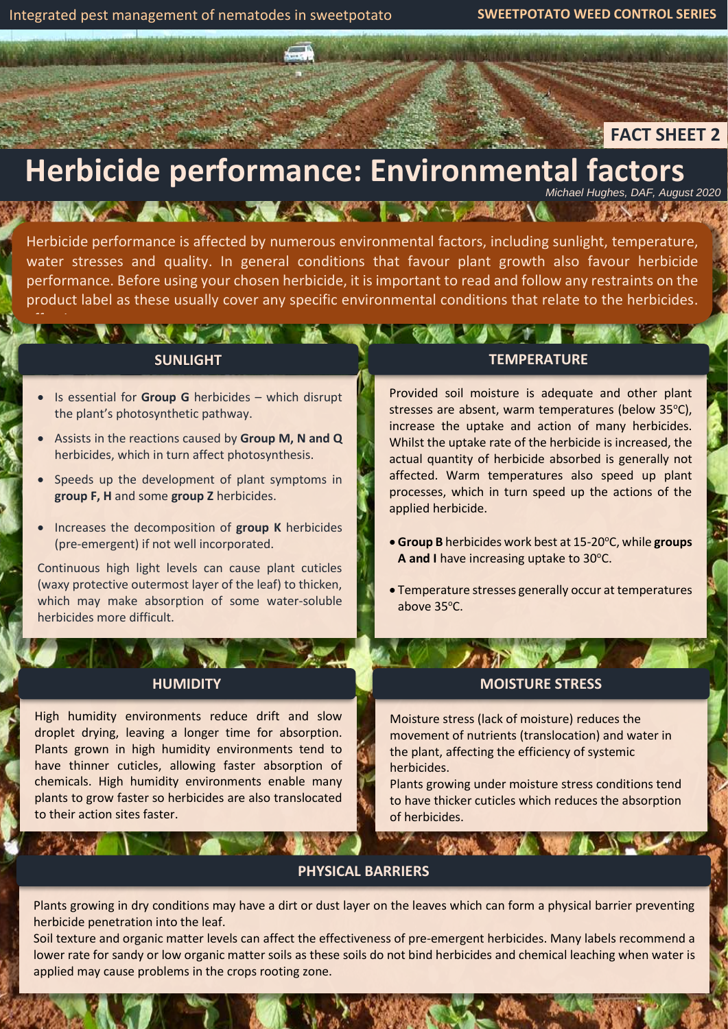4

effectiveness.

# **FACT SHEET 2**

# **Herbicide performance: Environmental factors** *Michael Hughes, DAF, August 2020*

A THE REAL PROPERTY OF A REAL PROPERTY.

Herbicide performance is affected by numerous environmental factors, including sunlight, temperature, water stresses and quality. In general conditions that favour plant growth also favour herbicide performance. Before using your chosen herbicide, it is important to read and follow any restraints on the product label as these usually cover any specific environmental conditions that relate to the herbicides.

#### **SUNLIGHT**

- Is essential for **Group G** herbicides which disrupt the plant's photosynthetic pathway.
- Assists in the reactions caused by **Group M, N and Q** herbicides, which in turn affect photosynthesis.
- Speeds up the development of plant symptoms in **group F, H** and some **group Z** herbicides.
- Increases the decomposition of **group K** herbicides (pre-emergent) if not well incorporated.

Continuous high light levels can cause plant cuticles (waxy protective outermost layer of the leaf) to thicken, which may make absorption of some water-soluble herbicides more difficult.

#### **HUMIDITY**

High humidity environments reduce drift and slow droplet drying, leaving a longer time for absorption. Plants grown in high humidity environments tend to have thinner cuticles, allowing faster absorption of chemicals. High humidity environments enable many plants to grow faster so herbicides are also translocated to their action sites faster.

 $\frac{1}{2}$ 

#### **TEMPERATURE**

Provided soil moisture is adequate and other plant stresses are absent, warm temperatures (below 35°C), increase the uptake and action of many herbicides. Whilst the uptake rate of the herbicide is increased, the actual quantity of herbicide absorbed is generally not affected. Warm temperatures also speed up plant processes, which in turn speed up the actions of the applied herbicide.

- Group B herbicides work best at 15-20°C, while groups **A** and I have increasing uptake to 30°C.
- Temperature stresses generally occur at temperatures above 35°C.

### **MOISTURE STRESS**

Moisture stress (lack of moisture) reduces the movement of nutrients (translocation) and water in the plant, affecting the efficiency of systemic herbicides.

Plants growing under moisture stress conditions tend to have thicker cuticles which reduces the absorption of herbicides.

**WALL SHELL WORK AT A TABLE** 

#### **PHYSICAL BARRIERS**

Plants growing in dry conditions may have a dirt or dust layer on the leaves which can form a physical barrier preventing herbicide penetration into the leaf.

Soil texture and organic matter levels can affect the effectiveness of pre-emergent herbicides. Many labels recommend a lower rate for sandy or low organic matter soils as these soils do not bind herbicides and chemical leaching when water is applied may cause problems in the crops rooting zone.